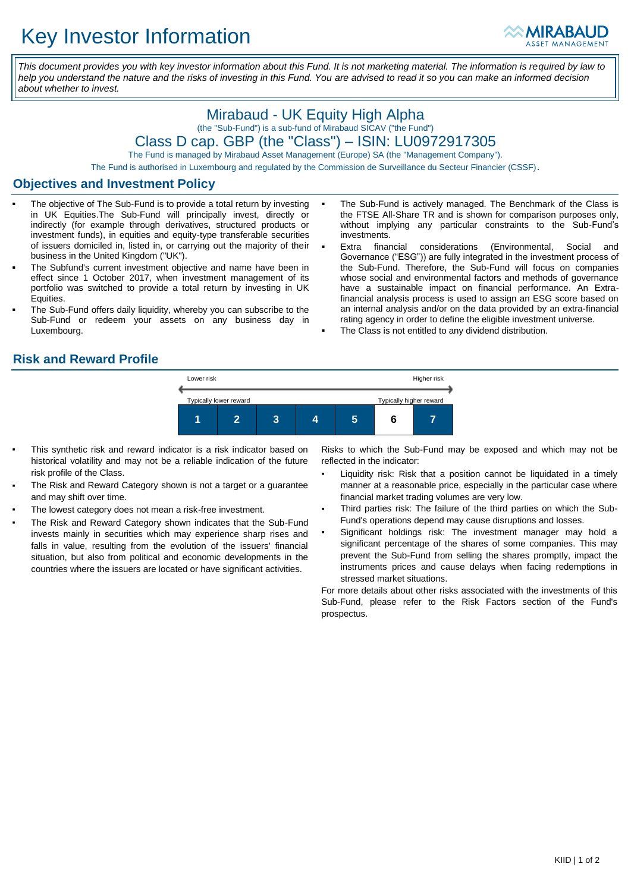

*This document provides you with key investor information about this Fund. It is not marketing material. The information is required by law to help you understand the nature and the risks of investing in this Fund. You are advised to read it so you can make an informed decision about whether to invest.*

# Mirabaud - UK Equity High Alpha (the "Sub-Fund") is a sub-fund of Mirabaud SICAV ("the Fund")

Class D cap. GBP (the "Class") – ISIN: LU0972917305

The Fund is managed by Mirabaud Asset Management (Europe) SA (the "Management Company").

The Fund is authorised in Luxembourg and regulated by the Commission de Surveillance du Secteur Financier (CSSF).

### **Objectives and Investment Policy**

- The objective of The Sub-Fund is to provide a total return by investing in UK Equities.The Sub-Fund will principally invest, directly or indirectly (for example through derivatives, structured products or investment funds), in equities and equity-type transferable securities of issuers domiciled in, listed in, or carrying out the majority of their business in the United Kingdom ("UK").
- The Subfund's current investment objective and name have been in effect since 1 October 2017, when investment management of its portfolio was switched to provide a total return by investing in UK Equities.
- The Sub-Fund offers daily liquidity, whereby you can subscribe to the Sub-Fund or redeem your assets on any business day in Luxembourg.
- The Sub-Fund is actively managed. The Benchmark of the Class is the FTSE All-Share TR and is shown for comparison purposes only, without implying any particular constraints to the Sub-Fund's investments.
- Extra financial considerations (Environmental, Social and Governance ("ESG")) are fully integrated in the investment process of the Sub-Fund. Therefore, the Sub-Fund will focus on companies whose social and environmental factors and methods of governance have a sustainable impact on financial performance. An Extrafinancial analysis process is used to assign an ESG score based on an internal analysis and/or on the data provided by an extra-financial rating agency in order to define the eligible investment universe.
- The Class is not entitled to any dividend distribution.

### **Risk and Reward Profile**



- This synthetic risk and reward indicator is a risk indicator based on historical volatility and may not be a reliable indication of the future risk profile of the Class.
- The Risk and Reward Category shown is not a target or a guarantee and may shift over time.
- The lowest category does not mean a risk-free investment.
- The Risk and Reward Category shown indicates that the Sub-Fund invests mainly in securities which may experience sharp rises and falls in value, resulting from the evolution of the issuers' financial situation, but also from political and economic developments in the countries where the issuers are located or have significant activities.

Risks to which the Sub-Fund may be exposed and which may not be reflected in the indicator:

- Liquidity risk: Risk that a position cannot be liquidated in a timely manner at a reasonable price, especially in the particular case where financial market trading volumes are very low.
- Third parties risk: The failure of the third parties on which the Sub-Fund's operations depend may cause disruptions and losses.
- Significant holdings risk: The investment manager may hold a significant percentage of the shares of some companies. This may prevent the Sub-Fund from selling the shares promptly, impact the instruments prices and cause delays when facing redemptions in stressed market situations.

For more details about other risks associated with the investments of this Sub-Fund, please refer to the Risk Factors section of the Fund's prospectus.